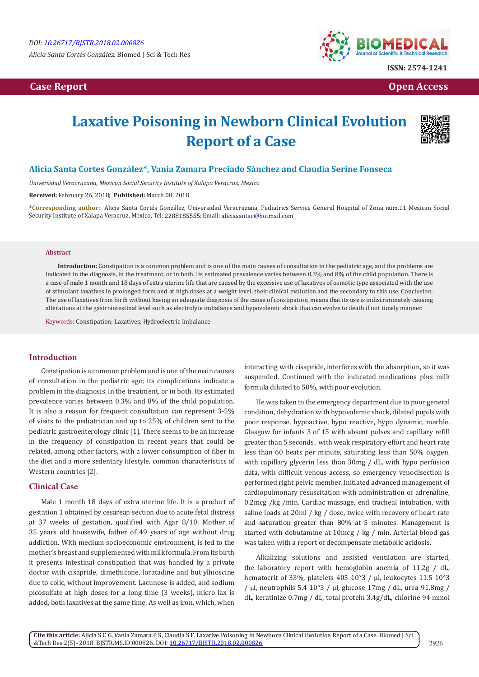# **Case Report Case Report Case Access**  $\alpha$  **Case Report** Case **Open Access Open Access**



# **Laxative Poisoning in Newborn Clinical Evolution Report of a Case**



## **Alicia Santa Cortes González\*, Vania Zamara Preciado Sánchez and Claudia Serine Fonseca**

*Universidad Veracruzana, Mexican Social Security Institute of Xalapa Veracruz, Mexico*

**Received:** February 26, 2018; **Published:** March 08, 2018

**\*Corresponding author:** Alicia Santa Cortés González, Universidad Veracruzana, Pediatrics Service General Hospital of Zona num.11 Mexican Social Security Institute of Xalapa Veracruz, Mexico, Tel: 2288185555; Email: aliciasantac@hotmail.com

#### **Abstract**

**Introduction:** Constipation is a common problem and is one of the main causes of consultation in the pediatric age, and the problems are indicated in the diagnosis, in the treatment, or in both. Its estimated prevalence varies between 0.3% and 8% of the child population. There is a case of male 1 month and 18 days of extra uterine life that are caused by the excessive use of laxatives of osmotic type associated with the use of stimulant laxatives in prolonged form and at high doses at a weight level, their clinical evolution and the secondary to this use. Conclusion: The use of laxatives from birth without having an adequate diagnosis of the cause of constipation, means that its use is indiscriminately causing alterations at the gastrointestinal level such as electrolyte imbalance and hypovolemic shock that can evolve to death if not timely manner.

Keywords: Constipation; Laxatives; Hydroelectric Imbalance

## **Introduction**

Constipation is a common problem and is one of the main causes of consultation in the pediatric age; its complications indicate a problem in the diagnosis, in the treatment, or in both. Its estimated prevalence varies between 0.3% and 8% of the child population. It is also a reason for frequent consultation can represent 3-5% of visits to the pediatrician and up to 25% of children sent to the pediatric gastroenterology clinic [1]. There seems to be an increase in the frequency of constipation in recent years that could be related, among other factors, with a lower consumption of fiber in the diet and a more sedentary lifestyle, common characteristics of Western countries [2].

## **Clinical Case**

Male 1 month 18 days of extra uterine life. It is a product of gestation 1 obtained by cesarean section due to acute fetal distress at 37 weeks of gestation, qualified with Agar 8/10. Mother of 35 years old housewife, father of 49 years of age without drug addiction. With medium socioeconomic environment, is fed to the mother's breast and supplemented with milk formula. From its birth it presents intestinal constipation that was handled by a private doctor with cisapride, dimethicone, loratadine and but ylhioscine due to colic, without improvement. Lacunose is added, and sodium picosulfate at high doses for a long time (3 weeks), micro lax is added, both laxatives at the same time. As well as iron, which, when

interacting with cisapride, interferes with the absorption, so it was suspended. Continued with the indicated medications plus milk formula diluted to 50%, with poor evolution.

He was taken to the emergency department due to poor general condition, dehydration with hypovolemic shock, dilated pupils with poor response, hypoactive, hypo reactive, hypo dynamic, marble, Glasgow for infants 3 of 15 with absent pulses and capillary refill greater than 5 seconds , with weak respiratory effort and heart rate less than 60 beats per minute, saturating less than 50% oxygen, with capillary glycerin less than 30mg / dL, with hypo perfusion data, with difficult venous access, so emergency venodisection is performed right pelvic member. Initiated advanced management of cardiopulmonary resuscitation with administration of adrenaline, 0.2mcg /kg /min. Cardiac massage, end tracheal intubation, with saline loads at 20ml / kg / dose, twice with recovery of heart rate and saturation greater than 80% at 5 minutes. Management is started with dobutamine at 10mcg / kg / min. Arterial blood gas was taken with a report of decompensate metabolic acidosis.

Alkalizing solutions and assisted ventilation are started, the laboratory report with hemoglobin anemia of 11.2g / dL, hematocrit of 33%, platelets  $405 10^{4}3$  / ul, leukocytes  $11.5 10^{4}3$ / μl, neutrophils 5.4 10ᶺ3 / μl, glucose 17mg / dL, urea 91.8mg / dL, keratinize 0.7mg / dL, total protein 3.4g/dL, chlorine 94 mmol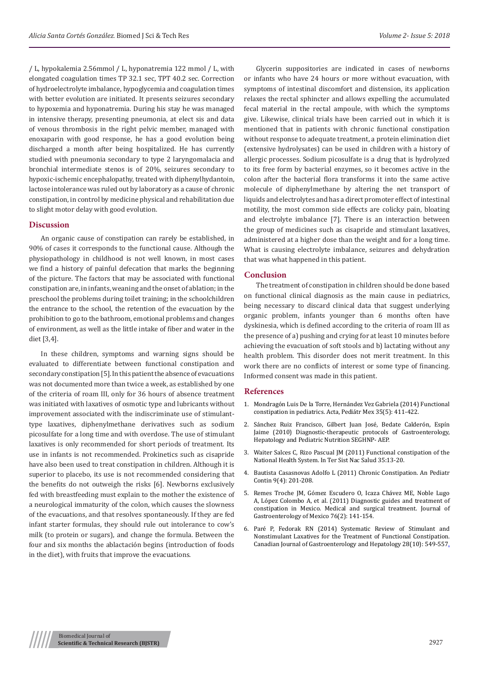/ L, hypokalemia 2.56mmol / L, hyponatremia 122 mmol / L, with elongated coagulation times TP 32.1 sec, TPT 40.2 sec. Correction of hydroelectrolyte imbalance, hypoglycemia and coagulation times with better evolution are initiated. It presents seizures secondary to hypoxemia and hyponatremia. During his stay he was managed in intensive therapy, presenting pneumonia, at elect sis and data of venous thrombosis in the right pelvic member, managed with enoxaparin with good response, he has a good evolution being discharged a month after being hospitalized. He has currently studied with pneumonia secondary to type 2 laryngomalacia and bronchial intermediate stenos is of 20%, seizures secondary to hypoxic-ischemic encephalopathy, treated with diphenylhydantoin, lactose intolerance was ruled out by laboratory as a cause of chronic constipation, in control by medicine physical and rehabilitation due to slight motor delay with good evolution.

## **Discussion**

An organic cause of constipation can rarely be established, in 90% of cases it corresponds to the functional cause. Although the physiopathology in childhood is not well known, in most cases we find a history of painful defecation that marks the beginning of the picture. The factors that may be associated with functional constipation are, in infants, weaning and the onset of ablation; in the preschool the problems during toilet training; in the schoolchildren the entrance to the school, the retention of the evacuation by the prohibition to go to the bathroom, emotional problems and changes of environment, as well as the little intake of fiber and water in the diet [3,4].

In these children, symptoms and warning signs should be evaluated to differentiate between functional constipation and secondary constipation [5]. In this patient the absence of evacuations was not documented more than twice a week, as established by one of the criteria of roam III, only for 36 hours of absence treatment was initiated with laxatives of osmotic type and lubricants without improvement associated with the indiscriminate use of stimulanttype laxatives, diphenylmethane derivatives such as sodium picosulfate for a long time and with overdose. The use of stimulant laxatives is only recommended for short periods of treatment. Its use in infants is not recommended. Prokinetics such as cisapride have also been used to treat constipation in children. Although it is superior to placebo, its use is not recommended considering that the benefits do not outweigh the risks [6]. Newborns exclusively fed with breastfeeding must explain to the mother the existence of a neurological immaturity of the colon, which causes the slowness of the evacuations, and that resolves spontaneously. If they are fed infant starter formulas, they should rule out intolerance to cow's milk (to protein or sugars), and change the formula. Between the four and six months the ablactación begins (introduction of foods in the diet), with fruits that improve the evacuations.

Glycerin suppositories are indicated in cases of newborns or infants who have 24 hours or more without evacuation, with symptoms of intestinal discomfort and distension, its application relaxes the rectal sphincter and allows expelling the accumulated fecal material in the rectal ampoule, with which the symptoms give. Likewise, clinical trials have been carried out in which it is mentioned that in patients with chronic functional constipation without response to adequate treatment, a protein elimination diet (extensive hydrolysates) can be used in children with a history of allergic processes. Sodium picosulfate is a drug that is hydrolyzed to its free form by bacterial enzymes, so it becomes active in the colon after the bacterial flora transforms it into the same active molecule of diphenylmethane by altering the net transport of liquids and electrolytes and has a direct promoter effect of intestinal motility, the most common side effects are colicky pain, bloating and electrolyte imbalance [7]. There is an interaction between the group of medicines such as cisapride and stimulant laxatives, administered at a higher dose than the weight and for a long time. What is causing electrolyte imbalance, seizures and dehydration that was what happened in this patient.

#### **Conclusion**

The treatment of constipation in children should be done based on functional clinical diagnosis as the main cause in pediatrics, being necessary to discard clinical data that suggest underlying organic problem, infants younger than 6 months often have dyskinesia, which is defined according to the criteria of roam III as the presence of a) pushing and crying for at least 10 minutes before achieving the evacuation of soft stools and b) lactating without any health problem. This disorder does not merit treatment. In this work there are no conflicts of interest or some type of financing. Informed consent was made in this patient.

#### **References**

- 1. [Mondragón Luis De la Torre, Hernández Vez Gabriela \(2014\) Functional](http://www.medigraphic.com/cgi-bin/new/resumenI.cgi?IDARTICULO=54866) [constipation in pediatrics. Acta, Pediátr Mex 35\(5\): 411-422.](http://www.medigraphic.com/cgi-bin/new/resumenI.cgi?IDARTICULO=54866)
- 2. Sánchez Ruiz Francisco, Gilbert Juan José, Bedate Calderón, Espín Jaime (2010) Diagnostic-therapeutic protocols of Gastroenterology, Hepatology and Pediatric Nutrition SEGHNP- AEP.
- 3. Waiter Salces C, Rizo Pascual JM (2011) Functional constipation of the National Health System. In Ter Sist Nac Salud 35:13-20.
- 4. Bautista Casasnovas Adolfo L (2011) Chronic Constipation. An Pediatr Contin 9(4): 201-208.
- 5. [Remes Troche JM, Gómez Escudero O, Icaza Chávez ME, Noble Lugo](https://www.ncbi.nlm.nih.gov/pubmed/21724490) [A, López Colombo A, et al. \(2011\) Diagnostic guides and treatment of](https://www.ncbi.nlm.nih.gov/pubmed/21724490) [constipation in Mexico. Medical and surgical treatment. Journal of](https://www.ncbi.nlm.nih.gov/pubmed/21724490) [Gastroenterology of Mexico 76\(2\): 141-154.](https://www.ncbi.nlm.nih.gov/pubmed/21724490)
- 6. [Paré P, Fedorak RN \(2014\) Systematic Review of Stimulant and](https://www.ncbi.nlm.nih.gov/pubmed/25390617) [Nonstimulant Laxatives for the Treatment of Functional Constipation.](https://www.ncbi.nlm.nih.gov/pubmed/25390617) [Canadian Journal of Gastroenterology and Hepatology 28\(10\): 549-557.](https://www.ncbi.nlm.nih.gov/pubmed/25390617)